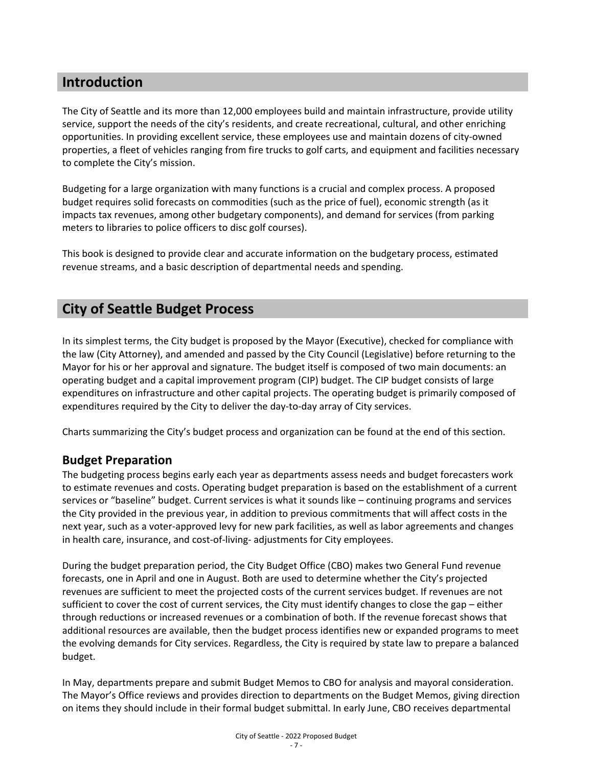## **Introduction**

The City of Seattle and its more than 12,000 employees build and maintain infrastructure, provide utility service, support the needs of the city's residents, and create recreational, cultural, and other enriching opportunities. In providing excellent service, these employees use and maintain dozens of city-owned properties, a fleet of vehicles ranging from fire trucks to golf carts, and equipment and facilities necessary to complete the City's mission.

Budgeting for a large organization with many functions is a crucial and complex process. A proposed budget requires solid forecasts on commodities (such as the price of fuel), economic strength (as it impacts tax revenues, among other budgetary components), and demand for services (from parking meters to libraries to police officers to disc golf courses).

This book is designed to provide clear and accurate information on the budgetary process, estimated revenue streams, and a basic description of departmental needs and spending.

## **City of Seattle Budget Process**

In its simplest terms, the City budget is proposed by the Mayor (Executive), checked for compliance with the law (City Attorney), and amended and passed by the City Council (Legislative) before returning to the Mayor for his or her approval and signature. The budget itself is composed of two main documents: an operating budget and a capital improvement program (CIP) budget. The CIP budget consists of large expenditures on infrastructure and other capital projects. The operating budget is primarily composed of expenditures required by the City to deliver the day-to-day array of City services.

Charts summarizing the City's budget process and organization can be found at the end of this section.

## **Budget Preparation**

The budgeting process begins early each year as departments assess needs and budget forecasters work to estimate revenues and costs. Operating budget preparation is based on the establishment of a current services or "baseline" budget. Current services is what it sounds like – continuing programs and services the City provided in the previous year, in addition to previous commitments that will affect costs in the next year, such as a voter-approved levy for new park facilities, as well as labor agreements and changes in health care, insurance, and cost-of-living- adjustments for City employees.

During the budget preparation period, the City Budget Office (CBO) makes two General Fund revenue forecasts, one in April and one in August. Both are used to determine whether the City's projected revenues are sufficient to meet the projected costs of the current services budget. If revenues are not sufficient to cover the cost of current services, the City must identify changes to close the gap – either through reductions or increased revenues or a combination of both. If the revenue forecast shows that additional resources are available, then the budget process identifies new or expanded programs to meet the evolving demands for City services. Regardless, the City is required by state law to prepare a balanced budget.

In May, departments prepare and submit Budget Memos to CBO for analysis and mayoral consideration. The Mayor's Office reviews and provides direction to departments on the Budget Memos, giving direction on items they should include in their formal budget submittal. In early June, CBO receives departmental